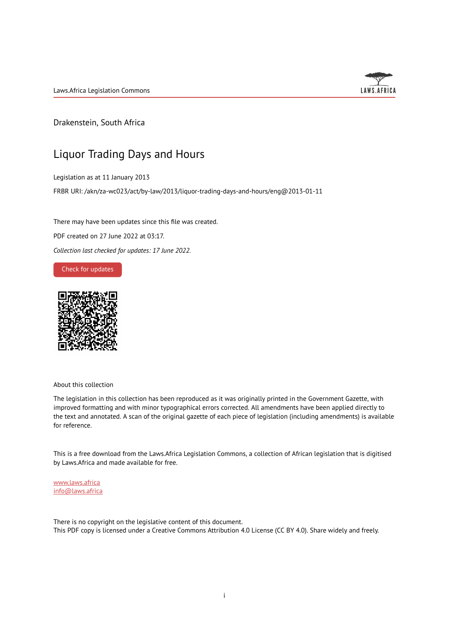Laws.Africa Legislation Commons



Drakenstein, South Africa

## Liquor Trading Days and Hours

Legislation as at 11 January 2013

FRBR URI: /akn/za-wc023/act/by-law/2013/liquor-trading-days-and-hours/eng@2013-01-11

There may have been updates since this file was created.

PDF created on 27 June 2022 at 03:17.

*Collection last checked for updates: 17 June 2022*.

Check for [updates](https://commons.laws.africa/akn/za-wc023/act/by-law/2013/liquor-trading-days-and-hours/eng@2013-01-11?ts=2022-06-27T03:17:24.924510+00:00)



About this collection

The legislation in this collection has been reproduced as it was originally printed in the Government Gazette, with improved formatting and with minor typographical errors corrected. All amendments have been applied directly to the text and annotated. A scan of the original gazette of each piece of legislation (including amendments) is available for reference.

This is a free download from the Laws.Africa Legislation Commons, a collection of African legislation that is digitised by Laws.Africa and made available for free.

[www.laws.africa](https://www.laws.africa) [info@laws.africa](mailto:info@laws.africa)

There is no copyright on the legislative content of this document. This PDF copy is licensed under a Creative Commons Attribution 4.0 License (CC BY 4.0). Share widely and freely.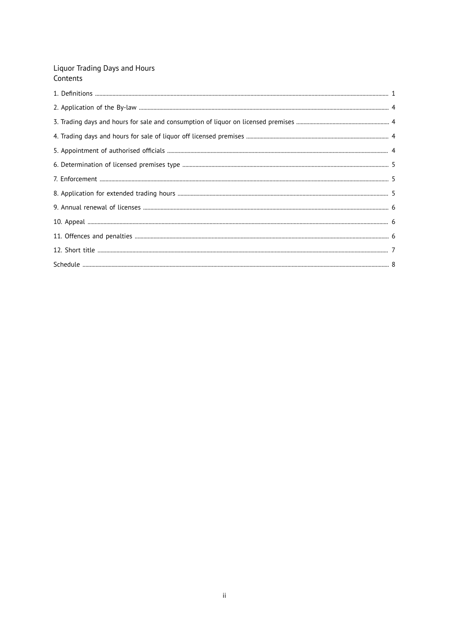# Liquor Trading Days and Hours<br>Contents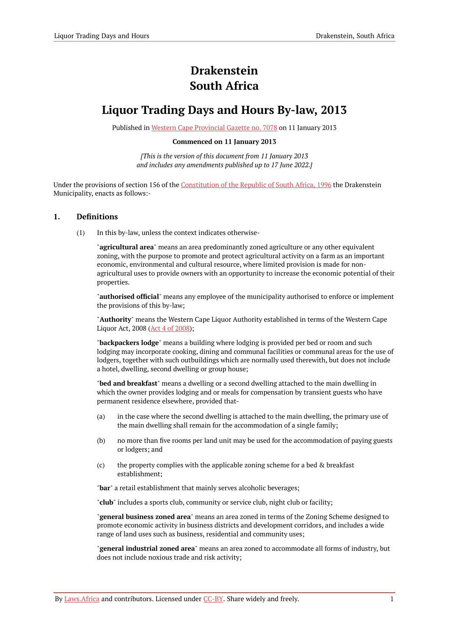# **Drakenstein South Africa**

## **Liquor Trading Days and Hours By-law, 2013**

Published in Western Cape [Provincial](https://commons.laws.africa/akn/za-wc023/act/by-law/2013/liquor-trading-days-and-hours/media/publication/za-wc023-act-by-law-2013-liquor-trading-days-and-hours-publication-document.pdf) Gazette no. 7078 on 11 January 2013

#### **Commenced on 11 January 2013**

*[This is the version of this document from 11 January 2013 and includes any amendments published up to 17 June 2022.]*

Under the provisions of section 156 of the [Constitution](https://resolver.laws.africa/resolve/akn/za/act/1996/constitution) of the Republic of South Africa, 1996 the Drakenstein Municipality, enacts as follows:-

#### <span id="page-2-0"></span>**1. Definitions**

(1) In this by-law, unless the context indicates otherwise-

"**agricultural area**" means an area predominantly zoned agriculture or any other equivalent zoning, with the purpose to promote and protect agricultural activity on a farm as an important economic, environmental and cultural resource, where limited provision is made for nonagricultural uses to provide owners with an opportunity to increase the economic potential of their properties.

"**authorised official**" means any employee of the municipality authorised to enforce or implement the provisions of this by-law;

"**Authority**" means the Western Cape Liquor Authority established in terms of the Western Cape Liquor Act, 2008 (Act 4 of [2008\)](https://resolver.laws.africa/resolve/akn/za/act/2008/4);

"**backpackers lodge**" means a building where lodging is provided per bed or room and such lodging may incorporate cooking, dining and communal facilities or communal areas for the use of lodgers, together with such outbuildings which are normally used therewith, but does not include a hotel, dwelling, second dwelling or group house;

"**bed and breakfast**" means a dwelling or a second dwelling attached to the main dwelling in which the owner provides lodging and or meals for compensation by transient guests who have permanent residence elsewhere, provided that-

- (a) in the case where the second dwelling is attached to the main dwelling, the primary use of the main dwelling shall remain for the accommodation of a single family;
- (b) no more than five rooms per land unit may be used for the accommodation of paying guests or lodgers; and
- (c) the property complies with the applicable zoning scheme for a bed & breakfast establishment;

"**bar**" a retail establishment that mainly serves alcoholic beverages;

"**club**" includes a sports club, community or service club, night club or facility;

"**general business zoned area**" means an area zoned in terms of the Zoning Scheme designed to promote economic activity in business districts and development corridors, and includes a wide range of land uses such as business, residential and community uses;

"**general industrial zoned area**" means an area zoned to accommodate all forms of industry, but does not include noxious trade and risk activity;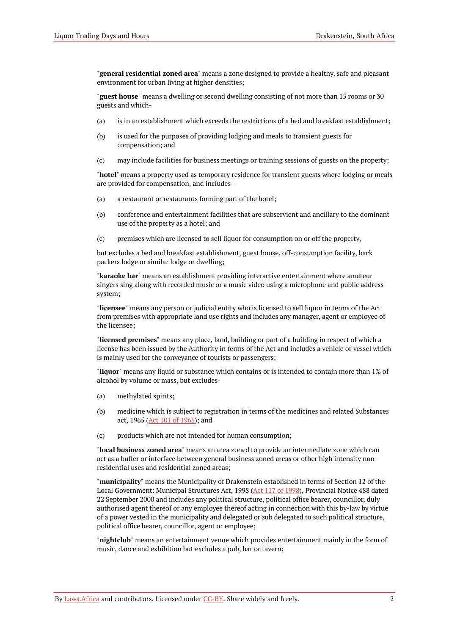"**general residential zoned area**" means a zone designed to provide a healthy, safe and pleasant environment for urban living at higher densities;

"**guest house**" means a dwelling or second dwelling consisting of not more than 15 rooms or 30 guests and which-

- (a) is in an establishment which exceeds the restrictions of a bed and breakfast establishment;
- (b) is used for the purposes of providing lodging and meals to transient guests for compensation; and
- (c) may include facilities for business meetings or training sessions of guests on the property;

"**hotel**" means a property used as temporary residence for transient guests where lodging or meals are provided for compensation, and includes -

- (a) a restaurant or restaurants forming part of the hotel;
- (b) conference and entertainment facilities that are subservient and ancillary to the dominant use of the property as a hotel; and
- (c) premises which are licensed to sell liquor for consumption on or off the property,

but excludes a bed and breakfast establishment, guest house, off-consumption facility, back packers lodge or similar lodge or dwelling;

"**karaoke bar**" means an establishment providing interactive entertainment where amateur singers sing along with recorded music or a music video using a microphone and public address system;

"**licensee**" means any person or judicial entity who is licensed to sell liquor in terms of the Act from premises with appropriate land use rights and includes any manager, agent or employee of the licensee;

"**licensed premises**" means any place, land, building or part of a building in respect of which a license has been issued by the Authority in terms of the Act and includes a vehicle or vessel which is mainly used for the conveyance of tourists or passengers;

"**liquor**" means any liquid or substance which contains or is intended to contain more than 1% of alcohol by volume or mass, but excludes-

- (a) methylated spirits;
- (b) medicine which is subject to registration in terms of the medicines and related Substances act, 1965 (Act 101 of [1965](https://resolver.laws.africa/resolve/akn/za/act/1965/101)); and
- (c) products which are not intended for human consumption;

"**local business zoned area**" means an area zoned to provide an intermediate zone which can act as a buffer or interface between general business zoned areas or other high intensity nonresidential uses and residential zoned areas;

"**municipality**" means the Municipality of Drakenstein established in terms of Section 12 of the Local Government: Municipal Structures Act, 1998 (Act 117 of [1998](https://resolver.laws.africa/resolve/akn/za/act/1998/117)), Provincial Notice 488 dated 22 September 2000 and includes any political structure, political office bearer, councillor, duly authorised agent thereof or any employee thereof acting in connection with this by-law by virtue of a power vested in the municipality and delegated or sub delegated to such political structure, political office bearer, councillor, agent or employee;

"**nightclub**" means an entertainment venue which provides entertainment mainly in the form of music, dance and exhibition but excludes a pub, bar or tavern;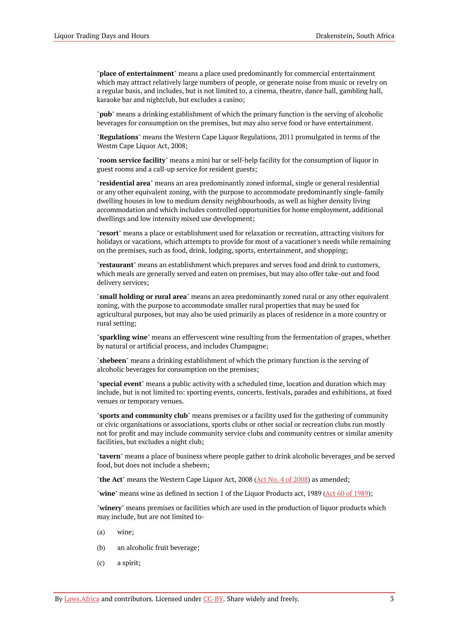"**place of entertainment**" means a place used predominantly for commercial entertainment which may attract relatively large numbers of people, or generate noise from music or revelry on a regular basis, and includes, but is not limited to, a cinema, theatre, dance hall, gambling hall, karaoke bar and nightclub, but excludes a casino;

"**pub**" means a drinking establishment of which the primary function is the serving of alcoholic beverages for consumption on the premises, but may also serve food or have entertainment.

"**Regulations**" means the Western Cape Liquor Regulations, 2011 promulgated in terms of the Westm Cape Liquor Act, 2008;

"**room service facility**" means a mini bar or self-help facility for the consumption of liquor in guest rooms and a call-up service for resident guests;

"**residential area**" means an area predominantly zoned informal, single or general residential or any other equivalent zoning, with the purpose to accommodate predominantly single-family dwelling houses in low to medium density neighbourhoods, as well as higher density living accommodation and which includes controlled opportunities for home employment, additional dwellings and low intensity mixed use development;

"**resort**" means a place or establishment used for relaxation or recreation, attracting visitors for holidays or vacations, which attempts to provide for most of a vacationer's needs while remaining on the premises, such as food, drink, lodging, sports, entertainment, and shopping;

"**restaurant**" means an establishment which prepares and serves food and drink to customers, which meals are generally served and eaten on premises, but may also offer take-out and food delivery services;

"**small holding or rural area**" means an area predominantly zoned rural or any other equivalent zoning, with the purpose to accommodate smaller rural properties that may be used for agricultural purposes, but may also be used primarily as places of residence in a more country or rural setting;

"**sparkling wine**" means an effervescent wine resulting from the fermentation of grapes, whether by natural or artificial process, and includes Champagne;

"**shebeen**" means a drinking establishment of which the primary function is the serving of alcoholic beverages for consumption on the premises;

"**special event**" means a public activity with a scheduled time, location and duration which may include, but is not limited to: sporting events, concerts, festivals, parades and exhibitions, at fixed venues or temporary venues.

"**sports and community club**" means premises or a facility used for the gathering of community or civic organisations or associations, sports clubs or other social or recreation clubs run mostly not for profit and may include community service clubs and community centres or similar amenity facilities, but excludes a night club;

"**tavern**" means a place of business where people gather to drink alcoholic beverages\_and be served food, but does not include a shebeen;

"**the Act**" means the Western Cape Liquor Act, 2008 (Act No. 4 of [2008](https://resolver.laws.africa/resolve/akn/za/act/2008/4)) as amended;

"**wine**" means wine as defined in section 1 of the Liquor Products act, 1989 (Act 60 of [1989](https://resolver.laws.africa/resolve/akn/za/act/1989/60));

"**winery**" means premises or facilities which are used in the production of liquor products which may include, but are not limited to-

- (a) wine;
- (b) an alcoholic fruit beverage;
- (c) a spirit;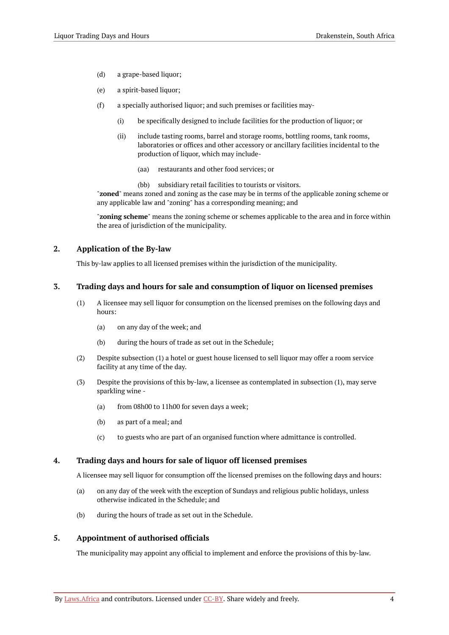- (d) a grape-based liquor;
- (e) a spirit-based liquor;
- (f) a specially authorised liquor; and such premises or facilities may-
	- (i) be specifically designed to include facilities for the production of liquor; or
	- (ii) include tasting rooms, barrel and storage rooms, bottling rooms, tank rooms, laboratories or offices and other accessory or ancillary facilities incidental to the production of liquor, which may include-
		- (aa) restaurants and other food services; or
		- (bb) subsidiary retail facilities to tourists or visitors.

"**zoned**" means zoned and zoning as the case may be in terms of the applicable zoning scheme or any applicable law and "zoning" has a corresponding meaning; and

"**zoning scheme**" means the zoning scheme or schemes applicable to the area and in force within the area of jurisdiction of the municipality.

#### <span id="page-5-0"></span>**2. Application of the By-law**

This by-law applies to all licensed premises within the jurisdiction of the municipality.

#### <span id="page-5-1"></span>**3. Trading days and hours for sale and consumption of liquor on licensed premises**

- (1) A licensee may sell liquor for consumption on the licensed premises on the following days and hours:
	- (a) on any day of the week; and
	- (b) during the hours of trade as set out in the Schedule;
- (2) Despite subsection (1) a hotel or guest house licensed to sell liquor may offer a room service facility at any time of the day.
- (3) Despite the provisions of this by-law, a licensee as contemplated in subsection (1), may serve sparkling wine -
	- (a) from 08h00 to 11h00 for seven days a week;
	- (b) as part of a meal; and
	- (c) to guests who are part of an organised function where admittance is controlled.

#### <span id="page-5-2"></span>**4. Trading days and hours for sale of liquor off licensed premises**

A licensee may sell liquor for consumption off the licensed premises on the following days and hours:

- (a) on any day of the week with the exception of Sundays and religious public holidays, unless otherwise indicated in the Schedule; and
- (b) during the hours of trade as set out in the Schedule.

#### <span id="page-5-3"></span>**5. Appointment of authorised officials**

The municipality may appoint any official to implement and enforce the provisions of this by-law.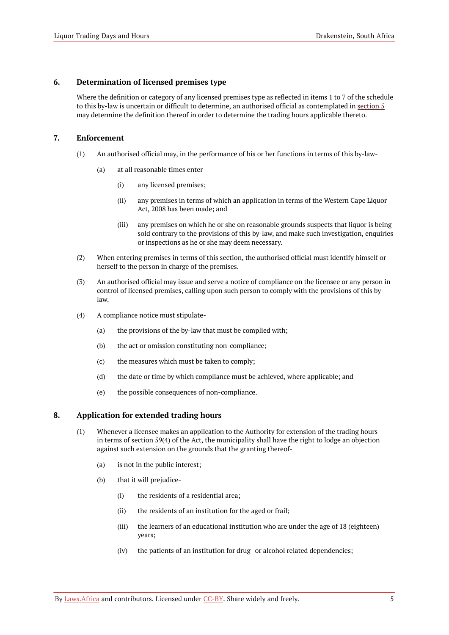#### <span id="page-6-0"></span>**6. Determination of licensed premises type**

Where the definition or category of any licensed premises type as reflected in items 1 to 7 of the schedule to this by-law is uncertain or difficult to determine, an authorised official as contemplated in [section](#page-5-3) 5 may determine the definition thereof in order to determine the trading hours applicable thereto.

#### <span id="page-6-1"></span>**7. Enforcement**

- (1) An authorised official may, in the performance of his or her functions in terms of this by-law-
	- (a) at all reasonable times enter-
		- (i) any licensed premises;
		- (ii) any premises in terms of which an application in terms of the Western Cape Liquor Act, 2008 has been made; and
		- (iii) any premises on which he or she on reasonable grounds suspects that liquor is being sold contrary to the provisions of this by-law, and make such investigation, enquiries or inspections as he or she may deem necessary.
- (2) When entering premises in terms of this section, the authorised official must identify himself or herself to the person in charge of the premises.
- (3) An authorised official may issue and serve a notice of compliance on the licensee or any person in control of licensed premises, calling upon such person to comply with the provisions of this bylaw.
- (4) A compliance notice must stipulate-
	- (a) the provisions of the by-law that must be complied with;
	- (b) the act or omission constituting non-compliance;
	- (c) the measures which must be taken to comply;
	- (d) the date or time by which compliance must be achieved, where applicable; and
	- (e) the possible consequences of non-compliance.

#### <span id="page-6-2"></span>**8. Application for extended trading hours**

- (1) Whenever a licensee makes an application to the Authority for extension of the trading hours in terms of section 59(4) of the Act, the municipality shall have the right to lodge an objection against such extension on the grounds that the granting thereof-
	- (a) is not in the public interest;
	- (b) that it will prejudice-
		- (i) the residents of a residential area;
		- (ii) the residents of an institution for the aged or frail;
		- (iii) the learners of an educational institution who are under the age of 18 (eighteen) years;
		- (iv) the patients of an institution for drug- or alcohol related dependencies;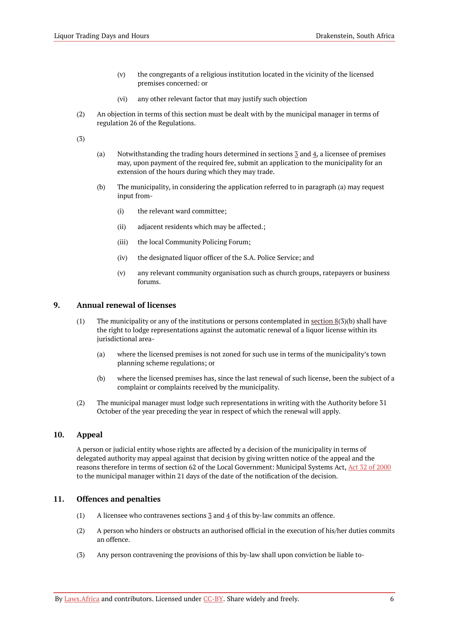- (v) the congregants of a religious institution located in the vicinity of the licensed premises concerned: or
- (vi) any other relevant factor that may justify such objection
- (2) An objection in terms of this section must be dealt with by the municipal manager in terms of regulation 26 of the Regulations.

(3)

- (a) Notwithstanding the trading hours determined in sections [3](#page-5-1) and [4,](#page-5-2) a licensee of premises may, upon payment of the required fee, submit an application to the municipality for an extension of the hours during which they may trade.
- (b) The municipality, in considering the application referred to in paragraph (a) may request input from-
	- (i) the relevant ward committee;
	- (ii) adjacent residents which may be affected.;
	- (iii) the local Community Policing Forum;
	- (iv) the designated liquor officer of the S.A. Police Service; and
	- (v) any relevant community organisation such as church groups, ratepayers or business forums.

#### <span id="page-7-0"></span>**9. Annual renewal of licenses**

- (1) The municipality or any of the institutions or persons contemplated in [section](#page-6-2)  $8(3)(b)$  shall have the right to lodge representations against the automatic renewal of a liquor license within its jurisdictional area-
	- (a) where the licensed premises is not zoned for such use in terms of the municipality's town planning scheme regulations; or
	- (b) where the licensed premises has, since the last renewal of such license, been the subject of a complaint or complaints received by the municipality.
- (2) The municipal manager must lodge such representations in writing with the Authority before 31 October of the year preceding the year in respect of which the renewal will apply.

#### <span id="page-7-1"></span>**10. Appeal**

A person or judicial entity whose rights are affected by a decision of the municipality in terms of delegated authority may appeal against that decision by giving written notice of the appeal and the reasons therefore in terms of section 62 of the Local Government: Municipal Systems Act, Act 32 of [2000](https://resolver.laws.africa/resolve/akn/za/act/2000/32) to the municipal manager within 21 days of the date of the notification of the decision.

#### <span id="page-7-2"></span>**11. Offences and penalties**

- (1) A licensee who contravenes sections  $\frac{3}{2}$  and  $\frac{4}{3}$  of this by-law commits an offence.
- (2) A person who hinders or obstructs an authorised official in the execution of his/her duties commits an offence.
- (3) Any person contravening the provisions of this by-law shall upon conviction be liable to-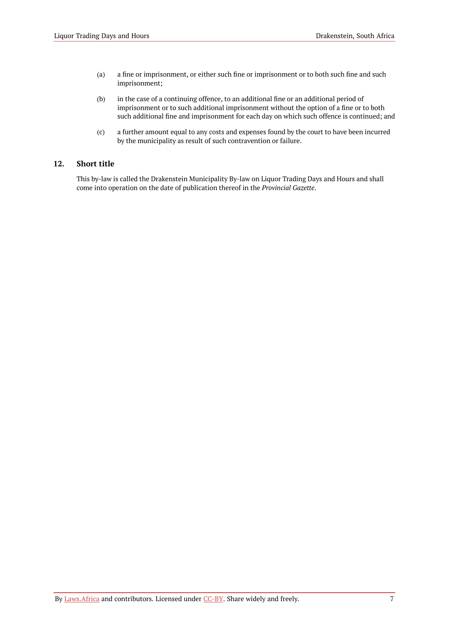- (a) a fine or imprisonment, or either such fine or imprisonment or to both such fine and such imprisonment;
- (b) in the case of a continuing offence, to an additional fine or an additional period of imprisonment or to such additional imprisonment without the option of a fine or to both such additional fine and imprisonment for each day on which such offence is continued; and
- (c) a further amount equal to any costs and expenses found by the court to have been incurred by the municipality as result of such contravention or failure.

#### <span id="page-8-0"></span>**12. Short title**

This by-law is called the Drakenstein Municipality By-law on Liquor Trading Days and Hours and shall come into operation on the date of publication thereof in the *Provincial Gazette*.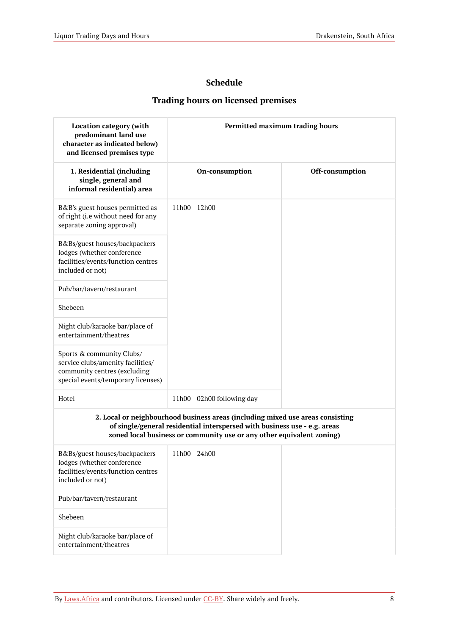## **Schedule**

## **Trading hours on licensed premises**

<span id="page-9-0"></span>

| <b>Location category (with</b><br>predominant land use<br>character as indicated below)<br>and licensed premises type                | Permitted maximum trading hours                                                                                                                                                                                                      |                 |
|--------------------------------------------------------------------------------------------------------------------------------------|--------------------------------------------------------------------------------------------------------------------------------------------------------------------------------------------------------------------------------------|-----------------|
| 1. Residential (including<br>single, general and<br>informal residential) area                                                       | On-consumption                                                                                                                                                                                                                       | Off-consumption |
| B&B's guest houses permitted as<br>of right (i.e without need for any<br>separate zoning approval)                                   | 11h00 - 12h00                                                                                                                                                                                                                        |                 |
| B&Bs/guest houses/backpackers<br>lodges (whether conference<br>facilities/events/function centres<br>included or not)                |                                                                                                                                                                                                                                      |                 |
| Pub/bar/tavern/restaurant                                                                                                            |                                                                                                                                                                                                                                      |                 |
| Shebeen                                                                                                                              |                                                                                                                                                                                                                                      |                 |
| Night club/karaoke bar/place of<br>entertainment/theatres                                                                            |                                                                                                                                                                                                                                      |                 |
| Sports & community Clubs/<br>service clubs/amenity facilities/<br>community centres (excluding<br>special events/temporary licenses) |                                                                                                                                                                                                                                      |                 |
| Hotel                                                                                                                                | 11h00 - 02h00 following day                                                                                                                                                                                                          |                 |
|                                                                                                                                      | 2. Local or neighbourhood business areas (including mixed use areas consisting<br>of single/general residential interspersed with business use - e.g. areas<br>zoned local business or community use or any other equivalent zoning) |                 |
| B&Bs/guest houses/backpackers<br>lodges (whether conference<br>facilities/events/function centres<br>included or not)                | 11h00 - 24h00                                                                                                                                                                                                                        |                 |
| Pub/bar/tavern/restaurant                                                                                                            |                                                                                                                                                                                                                                      |                 |
| Shebeen                                                                                                                              |                                                                                                                                                                                                                                      |                 |
| Night club/karaoke bar/place of<br>entertainment/theatres                                                                            |                                                                                                                                                                                                                                      |                 |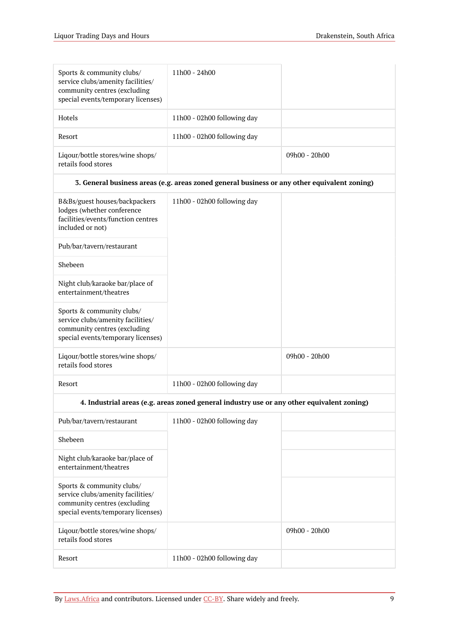| Sports & community clubs/<br>service clubs/amenity facilities/<br>community centres (excluding<br>special events/temporary licenses) | 11h00 - 24h00               |               |
|--------------------------------------------------------------------------------------------------------------------------------------|-----------------------------|---------------|
| <b>Hotels</b>                                                                                                                        | 11h00 - 02h00 following day |               |
| Resort                                                                                                                               | 11h00 - 02h00 following day |               |
| Liqour/bottle stores/wine shops/<br>retails food stores                                                                              |                             | 09h00 - 20h00 |

#### **3. General business areas (e.g. areas zoned general business or any other equivalent zoning)**

| B&Bs/guest houses/backpackers<br>lodges (whether conference<br>facilities/events/function centres<br>included or not)                | 11h00 - 02h00 following day |               |
|--------------------------------------------------------------------------------------------------------------------------------------|-----------------------------|---------------|
| Pub/bar/tavern/restaurant                                                                                                            |                             |               |
| Shebeen                                                                                                                              |                             |               |
| Night club/karaoke bar/place of<br>entertainment/theatres                                                                            |                             |               |
| Sports & community clubs/<br>service clubs/amenity facilities/<br>community centres (excluding<br>special events/temporary licenses) |                             |               |
| Liqour/bottle stores/wine shops/<br>retails food stores                                                                              |                             | 09h00 - 20h00 |
| Resort                                                                                                                               | 11h00 - 02h00 following day |               |

#### **4. Industrial areas (e.g. areas zoned general industry use or any other equivalent zoning)**

| Pub/bar/tavern/restaurant                                                                                                            | 11h00 - 02h00 following day |                 |
|--------------------------------------------------------------------------------------------------------------------------------------|-----------------------------|-----------------|
| Shebeen                                                                                                                              |                             |                 |
| Night club/karaoke bar/place of<br>entertainment/theatres                                                                            |                             |                 |
| Sports & community clubs/<br>service clubs/amenity facilities/<br>community centres (excluding<br>special events/temporary licenses) |                             |                 |
| Ligour/bottle stores/wine shops/<br>retails food stores                                                                              |                             | $09h00 - 20h00$ |
| Resort                                                                                                                               | 11h00 - 02h00 following day |                 |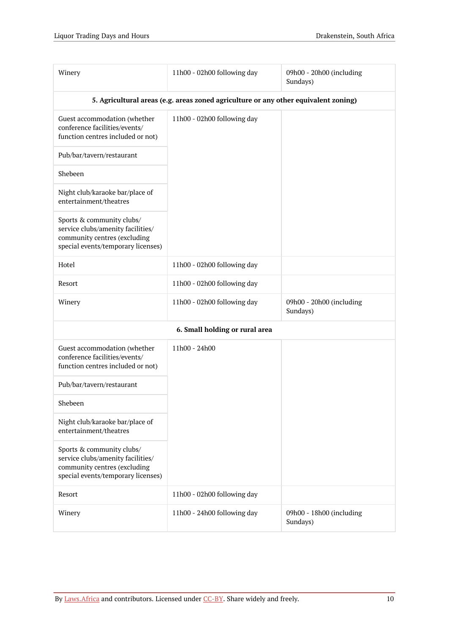| Winery                                                                                                                               | 11h00 - 02h00 following day                                                         | 09h00 - 20h00 (including<br>Sundays) |
|--------------------------------------------------------------------------------------------------------------------------------------|-------------------------------------------------------------------------------------|--------------------------------------|
|                                                                                                                                      | 5. Agricultural areas (e.g. areas zoned agriculture or any other equivalent zoning) |                                      |
| Guest accommodation (whether<br>conference facilities/events/<br>function centres included or not)                                   | 11h00 - 02h00 following day                                                         |                                      |
| Pub/bar/tavern/restaurant                                                                                                            |                                                                                     |                                      |
| Shebeen                                                                                                                              |                                                                                     |                                      |
| Night club/karaoke bar/place of<br>entertainment/theatres                                                                            |                                                                                     |                                      |
| Sports & community clubs/<br>service clubs/amenity facilities/<br>community centres (excluding<br>special events/temporary licenses) |                                                                                     |                                      |
| Hotel                                                                                                                                | 11h00 - 02h00 following day                                                         |                                      |
| Resort                                                                                                                               | 11h00 - 02h00 following day                                                         |                                      |
| Winery                                                                                                                               | 11h00 - 02h00 following day                                                         | 09h00 - 20h00 (including<br>Sundays) |
|                                                                                                                                      | 6. Small holding or rural area                                                      |                                      |
| Guest accommodation (whether<br>conference facilities/events/<br>function centres included or not)                                   | 11h00 - 24h00                                                                       |                                      |
| Pub/bar/tavern/restaurant                                                                                                            |                                                                                     |                                      |
| Shebeen                                                                                                                              |                                                                                     |                                      |
| Night club/karaoke bar/place of<br>entertainment/theatres                                                                            |                                                                                     |                                      |
| Sports & community clubs/<br>service clubs/amenity facilities/<br>community centres (excluding<br>special events/temporary licenses) |                                                                                     |                                      |
| Resort                                                                                                                               | 11h00 - 02h00 following day                                                         |                                      |
| Winery                                                                                                                               | 11h00 - 24h00 following day                                                         | 09h00 - 18h00 (including<br>Sundays) |